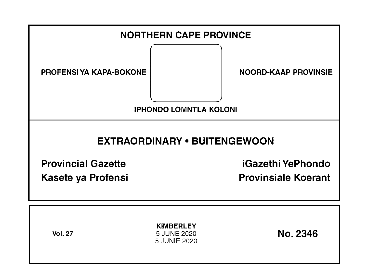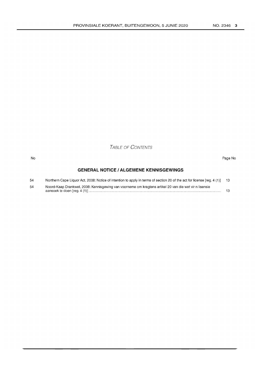TABLE OF CONTENTS

#### No Page No

# **GENERAL NOTICE I ALGEMENE KENNISGEWINGS**

| 54 | Northern Cape Liquor Act, 2008: Notice of intention to apply in terms of section 20 of the act for license [reg. 4 (1)] 13 |  |
|----|----------------------------------------------------------------------------------------------------------------------------|--|
| 54 | Noord-Kaap Drankwet, 2008: Kennisgewing van voorneme om kragtens artikel 20 van die wet vir n lisensie                     |  |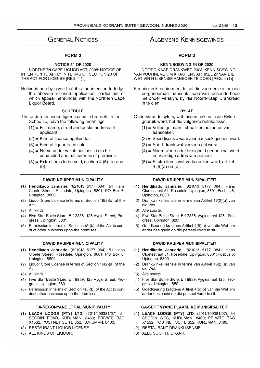# GENERAL NOTICES

## FORM 2

# NOTICE 54 OF 2020

NORTHERN CAPE LIQUOR ACT, 2008: NOTICE OF INTENTION TO APPLY IN TERMS OF SECTION 20 OF THE ACT FOR LICENSE [REG. 4 (1)]

Notice is hereby given that it is the intention to lodge the above-mentioned application, particulars of which appear hereunder, with the Northern Cape Liquor Board.

#### **SCHEDULE**

The undermentioned figures used in brackets in the Schedule, have the following meanings:

- $(1)$  = Full name, street and postal address of applicant.
- $(2)$  = Kind of licence applied for.
- $(3)$  = Kind of liquor to be sold.
- $(4)$  = Name under which business is to be conducted and full address of premises.
- $(5)$  = Extra Items to be sold; section 4  $(5)$  (a) and (b).

#### DAWID KRUIPER MUNICIPALITY

- (1) Hendikado Januarie, (821013 5177 084), 51 Hans Cloete Street, Rosedale, Upington, 8801; PO Box 6, Upington, 8800.
- (2) Liquor Store License in terms of Section 16(2)(a) of the Act.
- (3) All kinds.
- (4) Five Star Bottle Store, Erf 3385, 125 Vygie Street, Progress, Upington, 880t
- (5) Permission in terms of Section 4(5)(b) of the Act to conduct other business upon the premises.

#### DAWID KRUIPER MUNICIPALITY

- (1) Hendikado Januarie, (821013 5177 084), 51 Hans Cloete Street, Rosedale, Upington, 8801; PO Box 6, Upington, 8800.
- (2) Liquor Store License in terms of Section 16(2)(a) of the Act.
- (3) All kinds.
- (4) Five Star Bottle Store, Erf 9939, 125 Vygie Street, Progress, Upington, 880t
- (5) Permission in terms of Section 4(5)(b) of the Act to conduct other business upon the premises.

# GA-SEGONYANE LOCAL MUNICIPALITY

- (1) LEACH LODGE (PTY) LTD, (2011/109381/07), 54 SEODIN ROAD, KURUMAN, 8460; PRIVATE BAG X1532, POSTNET SUITE 352, KURUMAN, 8460.
- (2) RESTAURANT LIQUOR LICENSE.
- (3) ALL KINDS OF LIQUOR.

# ALGEMENE KENNISGEWINGS

# VORM2

#### KENNISGEWING 54 OF 2020

NOORD-KAAP DRANKWET, 2008: KENNISGEWING VAN VOORNEME OM KRAGTENS ARTIKEL 20 VAN DIE WET VIR N LlSENSIE AANSOEK TE DOEN [REG. 4 (1)]

Kennis geskied hiermee dat dit die voorneme is om die bo-genoemde aansoek, waarvan besonderhede hieronder verskyn, by die Noord-Kaap Drankraad in te dien.

#### BYLAE

- Onderstaande syfers, wat tussen hakies in die Bylae gebruik word, het die volgende betekenisse:
	- (1) = Volledige naam, straat- en posadres van aansoeker.
	- (2) = Soort lisensie waarvoor aansoek gedoen word.
	- (3) = Soort drank wat verkoop sal word.
	- (4) = Naam waaronder besigheid gedoen sal word en volledige adres van perseel.
	- (5) = Ekstra items wat verkoop kan word; artikel 4 (5)(a) en (b).

#### DAWID KRUIPER MUNISIPALITEIT

- (1) Hendikado Januarie, (821013 5177 084), Hans Cloetestraat 51, Rosedale, Upington, 8801; Posbus 6, Upington, 8800.
- (2) Drankwinkellisensie in terme van Artikel 16(2)(a) van die Wet.
- (3) Aile soorte.
- (4) Five Star Bottle Store, Erf 3385, Vygiestraat 125, Progress, Upington, 880t
- (5) Goedkeuring kragtens Artikel 4(5)(b) van die Wet om ander besigheid op die perseel voort te sit.

## DAWID KRUIPER MUNISIPALITEIT

- (1) Hendikado Januarie, (821013 5177 084), Hans Cloetestraat 51, Rosedale, Upington, 8801; Posbus 6, Upington, 8800.
- (2) Drankwinkellisensie in terme van Artikel 16(2)(a) van die Wet.
- (3) Aile soorte.
- (4) Five Star Bottle Store, Erf 9939, Vygiestraat 125, Progress, Upington, 880t
- (5) Goedkeuring kragtens Artikel 4(5)(b) van die Wet om ander besigheid op die perseel voort te sit.

# GA-SEGONYANE PLAASLIKE MUNISIPALITEIT

- (1) LEACH LODGE (PTY) LTD, (2011/109381/07), 54 SEODIN WEG, KURUMAN, 8460; PRIVATE BAG X1532, POSTNET SUITE 352, KURUMAN, 8460.
- (2) RESTAURANT DRANKLISENSIE.
- (3) ALLE SOORTE DRANK.